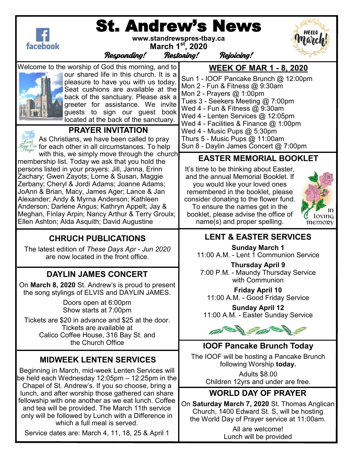| www.standrewspres-tbay.ca<br>facebook<br>March 1 <sup>st</sup> , 2020<br>Responding!                                                                                                                                                                                                                                                                                                                                                                                                                      | <b>St. Andrew's News</b><br><b>Restoning!</b><br><b>Rejoicing!</b>                                                                                                                                                                                                                                                                                                                                           |
|-----------------------------------------------------------------------------------------------------------------------------------------------------------------------------------------------------------------------------------------------------------------------------------------------------------------------------------------------------------------------------------------------------------------------------------------------------------------------------------------------------------|--------------------------------------------------------------------------------------------------------------------------------------------------------------------------------------------------------------------------------------------------------------------------------------------------------------------------------------------------------------------------------------------------------------|
| Welcome to the worship of God this morning, and to<br>our shared life in this church. It is a<br>pleasure to have you with us today.<br>Seat cushions are available at the<br>back of the sanctuary. Please ask a<br>greeter for assistance. We invite<br>guests to sign our guest book<br>located at the back of the sanctuary.<br><b>PRAYER INVITATION</b><br>As Christians, we have been called to pray<br>$\mathcal{H}_{\mathit{Fauer}}^{\mathit{Our}}$ for each other in all circumstances. To help  | <b>WEEK OF MAR 1 - 8, 2020</b><br>Sun 1 - IOOF Pancake Brunch @ 12:00pm<br>Mon 2 - Fun & Fitness @ 9:30am<br>Mon 2 - Prayers @ 1:00pm<br>Tues 3 - Seekers Meeting @ 7:00pm<br>Wed 4 - Fun & Fitness @ 9:30am<br>Wed 4 - Lenten Services @ 12:05pm<br>Wed 4 - Facilities & Finance $@$ 1:00pm<br>Wed $4$ - Music Pups $@$ 5:30pm<br>Thurs 5 - Music Pups $@$ 11:00am<br>Sun 8 - Daylin James Concert @ 7:00pm |
| with this, we simply move through the church<br>membership list. Today we ask that you hold the<br>persons listed in your prayers: Jill, Janna, Erinn<br>Zachary; Gwen Zayots; Lorne & Susan, Maggie<br>Zerbany; Cheryl & Jordi Adams; Joanne Adams;<br>JoAnn & Brian, Macy, James Ager; Lance & Jan<br>Alexander; Andy & Myrna Anderson; Kathleen<br>Anderson; Darlene Angus; Kathryn Appelt; Jay &<br>Meghan, Finlay Arpin; Nancy Arthur & Terry Groulx;<br>Ellen Ashton; Alda Asquith; David Augustine | <b>EASTER MEMORIAL BOOKLET</b><br>It's time to be thinking about Easter,<br>and the annual Memorial Booklet. If<br>you would like your loved ones<br>remembered in the booklet, please<br>consider donating to the flower fund.<br>To ensure the names get in the<br>m<br>booklet, please advise the office of<br>loving<br>name(s) and proper spelling.<br>memory                                           |
|                                                                                                                                                                                                                                                                                                                                                                                                                                                                                                           |                                                                                                                                                                                                                                                                                                                                                                                                              |
| <b>CHRUCH PUBLICATIONS</b><br>The latest edition of These Days Apr - Jun 2020<br>are now located in the front office.                                                                                                                                                                                                                                                                                                                                                                                     | <b>LENT &amp; EASTER SERVICES</b><br><b>Sunday March 1</b><br>11:00 A.M. - Lent 1 Communion Service                                                                                                                                                                                                                                                                                                          |
| <b>DAYLIN JAMES CONCERT</b><br>On March 8, 2020 St. Andrew's is proud to present<br>the song stylings of ELVIS and DAYLIN JAMES.<br>Doors open at 6:00pm<br>Show starts at 7:00pm<br>Tickets are \$20 in advance and \$25 at the door.<br>Tickets are available at<br>Calico Coffee House, 316 Bay St. and                                                                                                                                                                                                | <b>Thursday April 9</b><br>7:00 P.M. - Maundy Thursday Service<br>with Communion<br><b>Friday April 10</b><br>11:00 A.M. - Good Friday Service<br><b>Sunday April 12</b><br>11:00 A.M. - Easter Sunday Service                                                                                                                                                                                               |
| the Church Office<br><b>MIDWEEK LENTEN SERVICES</b><br>Beginning in March, mid-week Lenten Services will<br>be held each Wednesday $12:05$ pm $-12:25$ pm in the<br>Chapel of St. Andrew's. If you so choose, bring a                                                                                                                                                                                                                                                                                     | <b>IOOF Pancake Brunch Today</b><br>The IOOF will be hosting a Pancake Brunch<br>following Worship today.<br><b>Adults \$8.00</b><br>Children 12yrs and under are free.                                                                                                                                                                                                                                      |